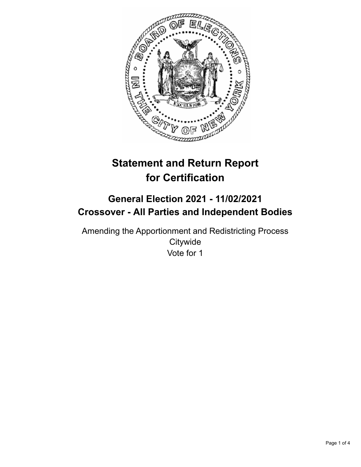

# **Statement and Return Report for Certification**

# **General Election 2021 - 11/02/2021 Crossover - All Parties and Independent Bodies**

Amending the Apportionment and Redistricting Process **Citywide** Vote for 1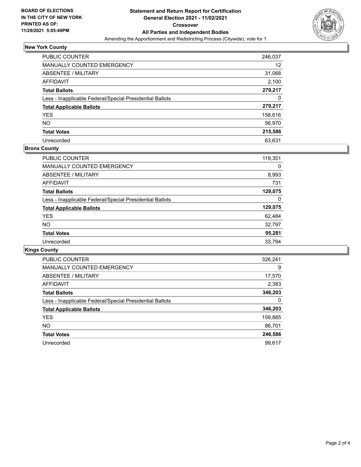

# **New York County**

| <b>PUBLIC COUNTER</b>                                    | 246,037 |
|----------------------------------------------------------|---------|
| MANUALLY COUNTED EMERGENCY                               | 12      |
| ABSENTEE / MILITARY                                      | 31,068  |
| AFFIDAVIT                                                | 2,100   |
| <b>Total Ballots</b>                                     | 279,217 |
| Less - Inapplicable Federal/Special Presidential Ballots | 0       |
| <b>Total Applicable Ballots</b>                          | 279,217 |
| <b>YES</b>                                               | 158,616 |
| <b>NO</b>                                                | 56,970  |
| <b>Total Votes</b>                                       | 215,586 |
| Unrecorded                                               | 63.631  |

### **Bronx County**

| <b>PUBLIC COUNTER</b>                                    | 119,351 |
|----------------------------------------------------------|---------|
| <b>MANUALLY COUNTED EMERGENCY</b>                        | 0       |
| ABSENTEE / MILITARY                                      | 8,993   |
| AFFIDAVIT                                                | 731     |
| <b>Total Ballots</b>                                     | 129,075 |
| Less - Inapplicable Federal/Special Presidential Ballots | 0       |
| <b>Total Applicable Ballots</b>                          | 129,075 |
| <b>YES</b>                                               | 62,484  |
| NO.                                                      | 32,797  |
| <b>Total Votes</b>                                       | 95,281  |
| Unrecorded                                               | 33.794  |

# **Kings County**

| <b>PUBLIC COUNTER</b>                                    | 326,241 |
|----------------------------------------------------------|---------|
| MANUALLY COUNTED EMERGENCY                               | 9       |
| ABSENTEE / MILITARY                                      | 17,570  |
| <b>AFFIDAVIT</b>                                         | 2,383   |
| <b>Total Ballots</b>                                     | 346,203 |
| Less - Inapplicable Federal/Special Presidential Ballots | 0       |
| <b>Total Applicable Ballots</b>                          | 346,203 |
| <b>YES</b>                                               | 159,885 |
| NO.                                                      | 86,701  |
| <b>Total Votes</b>                                       | 246,586 |
| Unrecorded                                               | 99.617  |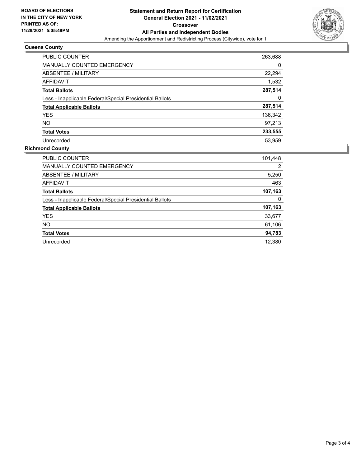

## **Queens County**

| PUBLIC COUNTER                                           | 263,688 |
|----------------------------------------------------------|---------|
| <b>MANUALLY COUNTED EMERGENCY</b>                        | 0       |
| ABSENTEE / MILITARY                                      | 22,294  |
| <b>AFFIDAVIT</b>                                         | 1,532   |
| <b>Total Ballots</b>                                     | 287,514 |
| Less - Inapplicable Federal/Special Presidential Ballots | 0       |
| <b>Total Applicable Ballots</b>                          | 287,514 |
| <b>YES</b>                                               | 136,342 |
| NO.                                                      | 97.213  |
| <b>Total Votes</b>                                       | 233,555 |
| Unrecorded                                               | 53.959  |

### **Richmond County**

| <b>PUBLIC COUNTER</b>                                    | 101,448 |
|----------------------------------------------------------|---------|
| MANUALLY COUNTED EMERGENCY                               | 2       |
| ABSENTEE / MILITARY                                      | 5,250   |
| AFFIDAVIT                                                | 463     |
| <b>Total Ballots</b>                                     | 107,163 |
| Less - Inapplicable Federal/Special Presidential Ballots | 0       |
| <b>Total Applicable Ballots</b>                          | 107,163 |
| <b>YES</b>                                               | 33,677  |
| NO.                                                      | 61,106  |
| <b>Total Votes</b>                                       | 94,783  |
| Unrecorded                                               | 12.380  |